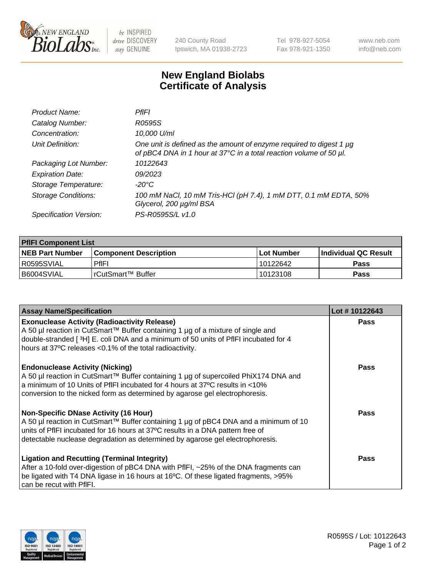

 $be$  INSPIRED drive DISCOVERY stay GENUINE

240 County Road Ipswich, MA 01938-2723 Tel 978-927-5054 Fax 978-921-1350 www.neb.com info@neb.com

## **New England Biolabs Certificate of Analysis**

| Product Name:              | PfIFI                                                                                                                                     |
|----------------------------|-------------------------------------------------------------------------------------------------------------------------------------------|
| Catalog Number:            | R0595S                                                                                                                                    |
| Concentration:             | 10,000 U/ml                                                                                                                               |
| Unit Definition:           | One unit is defined as the amount of enzyme required to digest 1 µg<br>of pBC4 DNA in 1 hour at 37°C in a total reaction volume of 50 µl. |
| Packaging Lot Number:      | 10122643                                                                                                                                  |
| <b>Expiration Date:</b>    | 09/2023                                                                                                                                   |
| Storage Temperature:       | -20°C                                                                                                                                     |
| <b>Storage Conditions:</b> | 100 mM NaCl, 10 mM Tris-HCl (pH 7.4), 1 mM DTT, 0.1 mM EDTA, 50%<br>Glycerol, 200 µg/ml BSA                                               |
| Specification Version:     | PS-R0595S/L v1.0                                                                                                                          |

| <b>PfIFI Component List</b> |                         |              |                             |  |  |
|-----------------------------|-------------------------|--------------|-----------------------------|--|--|
| <b>NEB Part Number</b>      | l Component Description | l Lot Number | <b>Individual QC Result</b> |  |  |
| I R0595SVIAL                | <b>PfIFI</b>            | 10122642     | Pass                        |  |  |
| B6004SVIAL                  | l rCutSmart™ Buffer_    | 10123108     | Pass                        |  |  |

| <b>Assay Name/Specification</b>                                                                                                                                                                                                                                                                  | Lot #10122643 |
|--------------------------------------------------------------------------------------------------------------------------------------------------------------------------------------------------------------------------------------------------------------------------------------------------|---------------|
| <b>Exonuclease Activity (Radioactivity Release)</b><br>A 50 µl reaction in CutSmart™ Buffer containing 1 µg of a mixture of single and<br>double-stranded [3H] E. coli DNA and a minimum of 50 units of PfIFI incubated for 4<br>hours at 37°C releases <0.1% of the total radioactivity.        | Pass          |
| <b>Endonuclease Activity (Nicking)</b><br>A 50 µl reaction in CutSmart™ Buffer containing 1 µg of supercoiled PhiX174 DNA and<br>a minimum of 10 Units of PfIFI incubated for 4 hours at 37°C results in <10%<br>conversion to the nicked form as determined by agarose gel electrophoresis.     | <b>Pass</b>   |
| Non-Specific DNase Activity (16 Hour)<br>A 50 µl reaction in CutSmart™ Buffer containing 1 µg of pBC4 DNA and a minimum of 10<br>units of PfIFI incubated for 16 hours at 37°C results in a DNA pattern free of<br>detectable nuclease degradation as determined by agarose gel electrophoresis. | Pass          |
| <b>Ligation and Recutting (Terminal Integrity)</b><br>After a 10-fold over-digestion of pBC4 DNA with PfIFI, ~25% of the DNA fragments can<br>be ligated with T4 DNA ligase in 16 hours at 16°C. Of these ligated fragments, >95%<br>can be recut with PfIFI.                                    | Pass          |